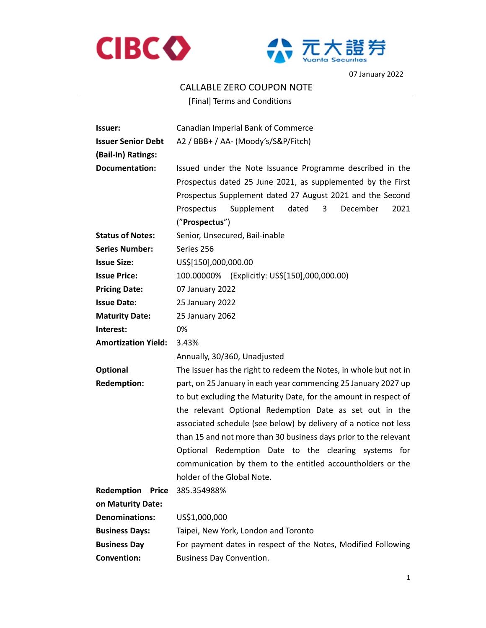



07 January 2022

## CALLABLE ZERO COUPON NOTE

[Final] Terms and Conditions

| Issuer:                    | Canadian Imperial Bank of Commerce                                                                                                                                                                                                                                    |  |  |
|----------------------------|-----------------------------------------------------------------------------------------------------------------------------------------------------------------------------------------------------------------------------------------------------------------------|--|--|
| <b>Issuer Senior Debt</b>  | A2 / BBB+ / AA- (Moody's/S&P/Fitch)                                                                                                                                                                                                                                   |  |  |
| (Bail-In) Ratings:         |                                                                                                                                                                                                                                                                       |  |  |
| <b>Documentation:</b>      | Issued under the Note Issuance Programme described in the<br>Prospectus dated 25 June 2021, as supplemented by the First<br>Prospectus Supplement dated 27 August 2021 and the Second<br>Supplement<br>dated<br>3<br>December<br>Prospectus<br>2021<br>("Prospectus") |  |  |
| <b>Status of Notes:</b>    | Senior, Unsecured, Bail-inable                                                                                                                                                                                                                                        |  |  |
| <b>Series Number:</b>      | Series 256                                                                                                                                                                                                                                                            |  |  |
| <b>Issue Size:</b>         | US\$[150],000,000.00                                                                                                                                                                                                                                                  |  |  |
| <b>Issue Price:</b>        | 100.00000% (Explicitly: US\$[150],000,000.00)                                                                                                                                                                                                                         |  |  |
| <b>Pricing Date:</b>       | 07 January 2022                                                                                                                                                                                                                                                       |  |  |
| <b>Issue Date:</b>         | 25 January 2022                                                                                                                                                                                                                                                       |  |  |
| <b>Maturity Date:</b>      | 25 January 2062                                                                                                                                                                                                                                                       |  |  |
| Interest:                  | 0%                                                                                                                                                                                                                                                                    |  |  |
| <b>Amortization Yield:</b> | 3.43%                                                                                                                                                                                                                                                                 |  |  |
|                            | Annually, 30/360, Unadjusted                                                                                                                                                                                                                                          |  |  |
| Optional                   | The Issuer has the right to redeem the Notes, in whole but not in                                                                                                                                                                                                     |  |  |
| <b>Redemption:</b>         | part, on 25 January in each year commencing 25 January 2027 up                                                                                                                                                                                                        |  |  |
|                            | to but excluding the Maturity Date, for the amount in respect of                                                                                                                                                                                                      |  |  |
|                            | the relevant Optional Redemption Date as set out in the<br>associated schedule (see below) by delivery of a notice not less<br>than 15 and not more than 30 business days prior to the relevant                                                                       |  |  |
|                            |                                                                                                                                                                                                                                                                       |  |  |
|                            |                                                                                                                                                                                                                                                                       |  |  |
|                            | Optional Redemption Date to the clearing systems for<br>communication by them to the entitled accountholders or the                                                                                                                                                   |  |  |
|                            |                                                                                                                                                                                                                                                                       |  |  |
|                            | holder of the Global Note.                                                                                                                                                                                                                                            |  |  |
| Redemption<br><b>Price</b> | 385.354988%                                                                                                                                                                                                                                                           |  |  |
| on Maturity Date:          |                                                                                                                                                                                                                                                                       |  |  |
| <b>Denominations:</b>      | US\$1,000,000                                                                                                                                                                                                                                                         |  |  |
| <b>Business Days:</b>      | Taipei, New York, London and Toronto                                                                                                                                                                                                                                  |  |  |
| <b>Business Day</b>        | For payment dates in respect of the Notes, Modified Following                                                                                                                                                                                                         |  |  |
| <b>Convention:</b>         | <b>Business Day Convention.</b>                                                                                                                                                                                                                                       |  |  |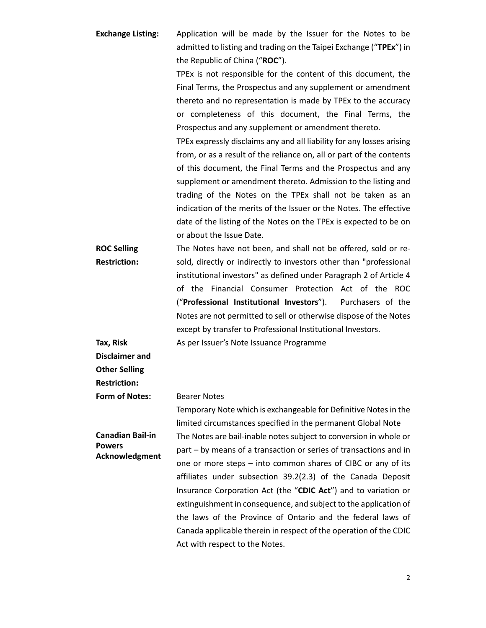**Exchange Listing:**  Application will be made by the Issuer for the Notes to be admitted to listing and trading on the Taipei Exchange ("**TPEx**") in the Republic of China ("**ROC**").

> TPEx is not responsible for the content of this document, the Final Terms, the Prospectus and any supplement or amendment thereto and no representation is made by TPEx to the accuracy or completeness of this document, the Final Terms, the Prospectus and any supplement or amendment thereto.

> TPEx expressly disclaims any and all liability for any losses arising from, or as a result of the reliance on, all or part of the contents of this document, the Final Terms and the Prospectus and any supplement or amendment thereto. Admission to the listing and trading of the Notes on the TPEx shall not be taken as an indication of the merits of the Issuer or the Notes. The effective date of the listing of the Notes on the TPEx is expected to be on or about the Issue Date.

> Temporary Note which is exchangeable for Definitive Notes in the

**ROC Selling Restriction:**  The Notes have not been, and shall not be offered, sold or resold, directly or indirectly to investors other than "professional institutional investors" as defined under Paragraph 2 of Article 4 of the Financial Consumer Protection Act of the ROC ("**Professional Institutional Investors**"). Purchasers of the Notes are not permitted to sell or otherwise dispose of the Notes except by transfer to Professional Institutional Investors. As per Issuer's Note Issuance Programme

**Tax, Risk** 

**Disclaimer and** 

**Other Selling** 

**Restriction:** 

**Form of Notes:** Bearer Notes

limited circumstances specified in the permanent Global Note **Canadian Bail-in Powers Acknowledgment**  The Notes are bail-inable notes subject to conversion in whole or part – by means of a transaction or series of transactions and in one or more steps – into common shares of CIBC or any of its affiliates under subsection 39.2(2.3) of the Canada Deposit Insurance Corporation Act (the "**CDIC Act**") and to variation or extinguishment in consequence, and subject to the application of the laws of the Province of Ontario and the federal laws of Canada applicable therein in respect of the operation of the CDIC

Act with respect to the Notes.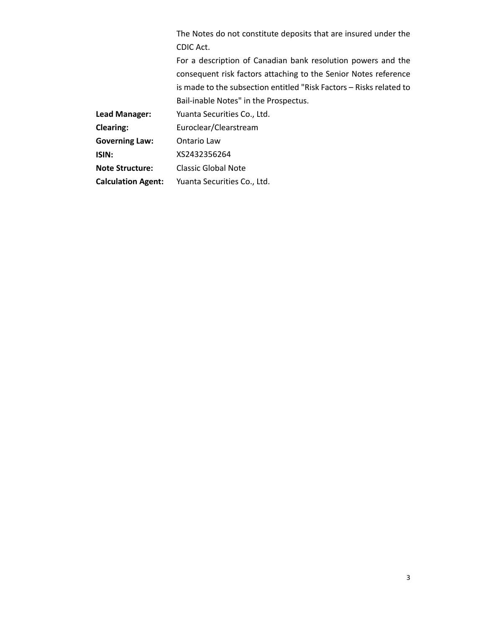The Notes do not constitute deposits that are insured under the CDIC Act.

For a description of Canadian bank resolution powers and the consequent risk factors attaching to the Senior Notes reference is made to the subsection entitled "Risk Factors – Risks related to Bail-inable Notes" in the Prospectus.

**Lead Manager:**  Yuanta Securities Co., Ltd.

**Clearing:**  Euroclear/Clearstream

**Governing Law:**  Ontario Law

**ISIN:**  XS2432356264

**Note Structure:**  Classic Global Note

**Calculation Agent:**  Yuanta Securities Co., Ltd.